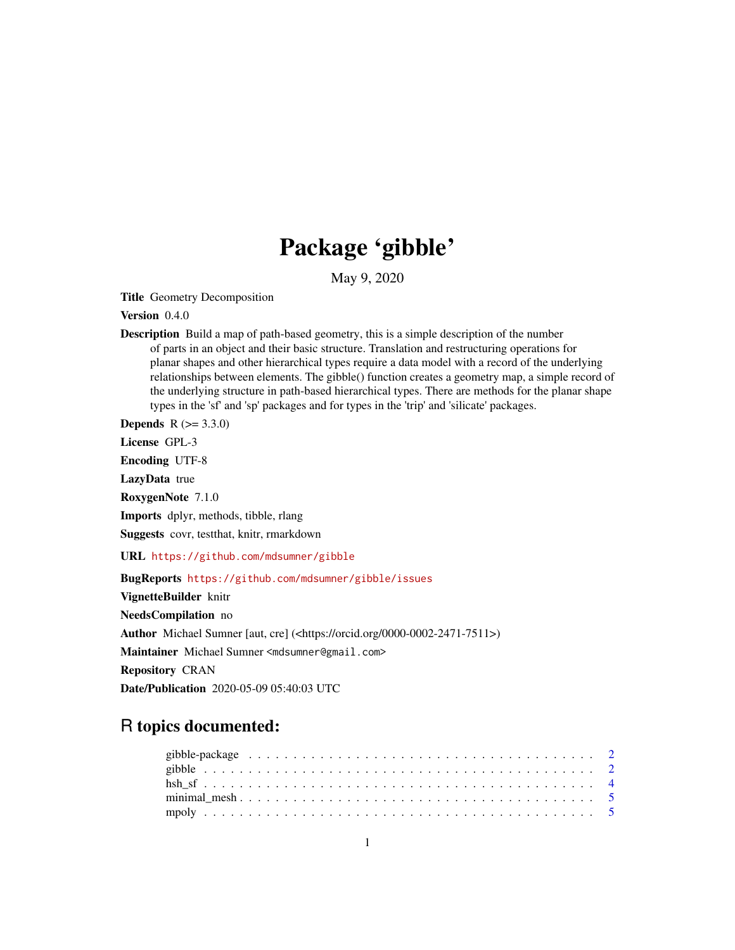## Package 'gibble'

May 9, 2020

Title Geometry Decomposition

Version 0.4.0

Description Build a map of path-based geometry, this is a simple description of the number of parts in an object and their basic structure. Translation and restructuring operations for planar shapes and other hierarchical types require a data model with a record of the underlying relationships between elements. The gibble() function creates a geometry map, a simple record of the underlying structure in path-based hierarchical types. There are methods for the planar shape types in the 'sf' and 'sp' packages and for types in the 'trip' and 'silicate' packages.

**Depends**  $R (= 3.3.0)$ 

License GPL-3

Encoding UTF-8

LazyData true

RoxygenNote 7.1.0

Imports dplyr, methods, tibble, rlang

Suggests covr, testthat, knitr, rmarkdown

URL <https://github.com/mdsumner/gibble>

BugReports <https://github.com/mdsumner/gibble/issues>

VignetteBuilder knitr

NeedsCompilation no

Author Michael Sumner [aut, cre] (<https://orcid.org/0000-0002-2471-7511>)

Maintainer Michael Sumner <mdsumner@gmail.com>

Repository CRAN

Date/Publication 2020-05-09 05:40:03 UTC

### R topics documented: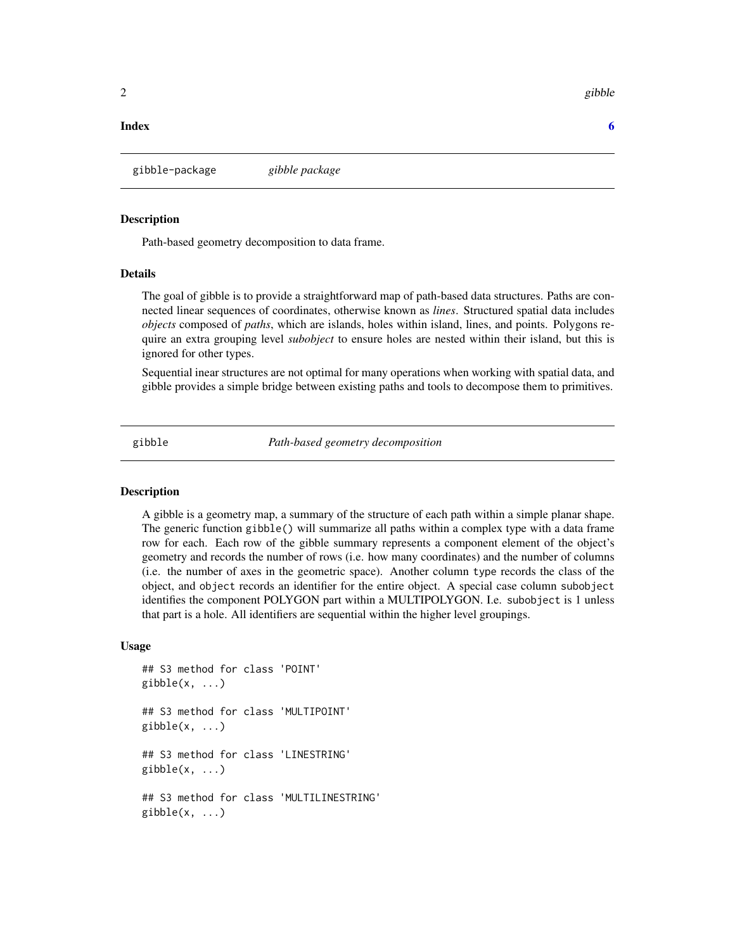#### <span id="page-1-0"></span>**Index** [6](#page-5-0) **6**

gibble-package *gibble package*

#### Description

Path-based geometry decomposition to data frame.

#### Details

The goal of gibble is to provide a straightforward map of path-based data structures. Paths are connected linear sequences of coordinates, otherwise known as *lines*. Structured spatial data includes *objects* composed of *paths*, which are islands, holes within island, lines, and points. Polygons require an extra grouping level *subobject* to ensure holes are nested within their island, but this is ignored for other types.

Sequential inear structures are not optimal for many operations when working with spatial data, and gibble provides a simple bridge between existing paths and tools to decompose them to primitives.

gibble *Path-based geometry decomposition*

#### **Description**

A gibble is a geometry map, a summary of the structure of each path within a simple planar shape. The generic function gibble() will summarize all paths within a complex type with a data frame row for each. Each row of the gibble summary represents a component element of the object's geometry and records the number of rows (i.e. how many coordinates) and the number of columns (i.e. the number of axes in the geometric space). Another column type records the class of the object, and object records an identifier for the entire object. A special case column subobject identifies the component POLYGON part within a MULTIPOLYGON. I.e. subobject is 1 unless that part is a hole. All identifiers are sequential within the higher level groupings.

#### Usage

```
## S3 method for class 'POINT'
gibble(x, \ldots)## S3 method for class 'MULTIPOINT'
gibble(x, \ldots)## S3 method for class 'LINESTRING'
gibble(x, \ldots)## S3 method for class 'MULTILINESTRING'
gibble(x, ...)
```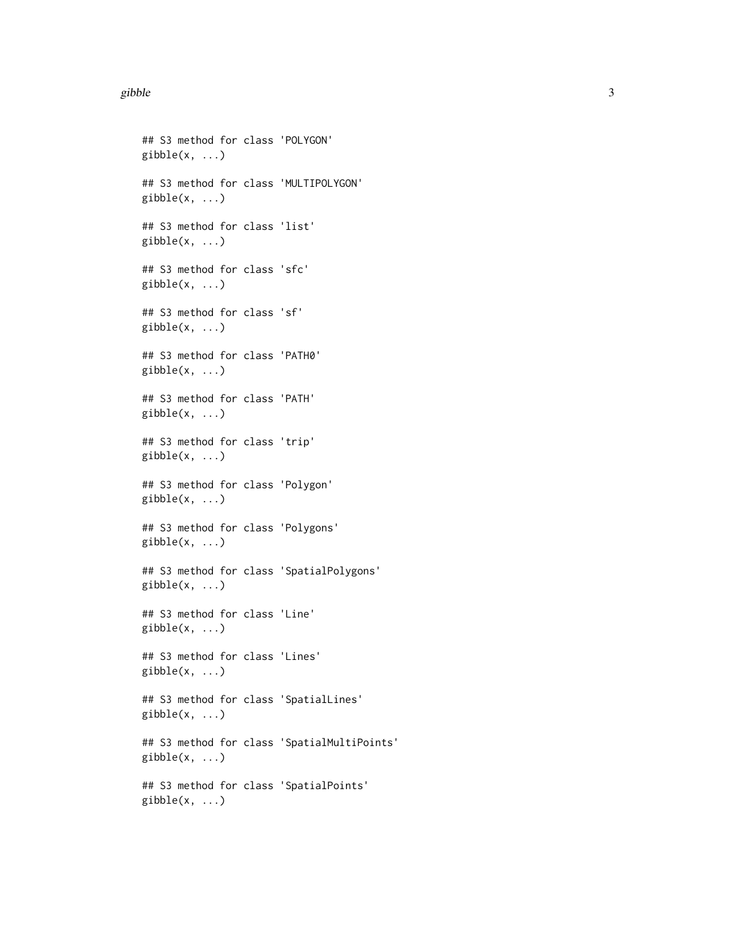#### gibble 3

## S3 method for class 'POLYGON'  $gibble(x, \ldots)$ ## S3 method for class 'MULTIPOLYGON'  $gibble(x, ...)$ ## S3 method for class 'list'  $gibble(x, ...)$ ## S3 method for class 'sfc'  $gibble(x, ...)$ ## S3 method for class 'sf'  $gibble(x, ...)$ ## S3 method for class 'PATH0'  $gibble(x, \ldots)$ ## S3 method for class 'PATH'  $gibble(x, ...)$ ## S3 method for class 'trip'  $gibble(x, ...)$ ## S3 method for class 'Polygon' gibble(x, ...) ## S3 method for class 'Polygons'  $gibble(x, ...)$ ## S3 method for class 'SpatialPolygons'  $gibble(x, ...)$ ## S3 method for class 'Line'  $gibble(x, \ldots)$ ## S3 method for class 'Lines'  $gibble(x, ...)$ ## S3 method for class 'SpatialLines'  $gibble(x, ...)$ ## S3 method for class 'SpatialMultiPoints' gibble(x, ...) ## S3 method for class 'SpatialPoints'  $gibble(x, ...)$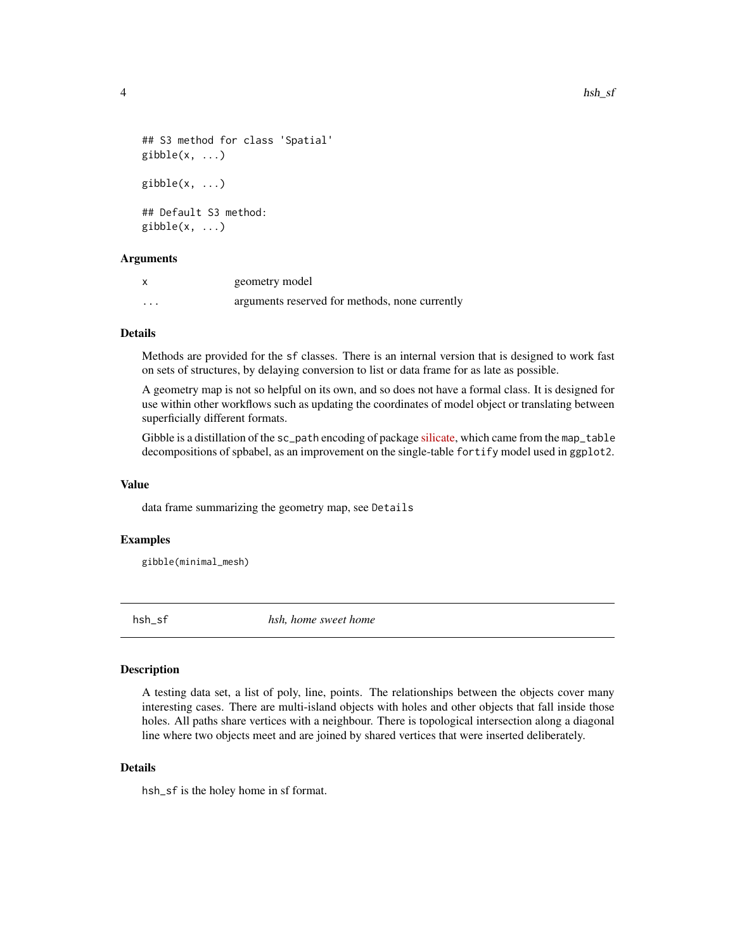```
## S3 method for class 'Spatial'
gibble(x, \ldots)gibble(x, \ldots)## Default S3 method:
gibble(x, ...)
```
#### Arguments

|                   | geometry model                                 |
|-------------------|------------------------------------------------|
| $\cdot\cdot\cdot$ | arguments reserved for methods, none currently |

#### Details

Methods are provided for the sf classes. There is an internal version that is designed to work fast on sets of structures, by delaying conversion to list or data frame for as late as possible.

A geometry map is not so helpful on its own, and so does not have a formal class. It is designed for use within other workflows such as updating the coordinates of model object or translating between superficially different formats.

Gibble is a distillation of the sc\_path encoding of package [silicate,](https://github.com/hypertidy/silicate) which came from the map\_table decompositions of spbabel, as an improvement on the single-table fortify model used in ggplot2.

#### Value

data frame summarizing the geometry map, see Details

#### Examples

gibble(minimal\_mesh)

hsh\_sf *hsh, home sweet home*

#### **Description**

A testing data set, a list of poly, line, points. The relationships between the objects cover many interesting cases. There are multi-island objects with holes and other objects that fall inside those holes. All paths share vertices with a neighbour. There is topological intersection along a diagonal line where two objects meet and are joined by shared vertices that were inserted deliberately.

#### Details

hsh\_sf is the holey home in sf format.

<span id="page-3-0"></span>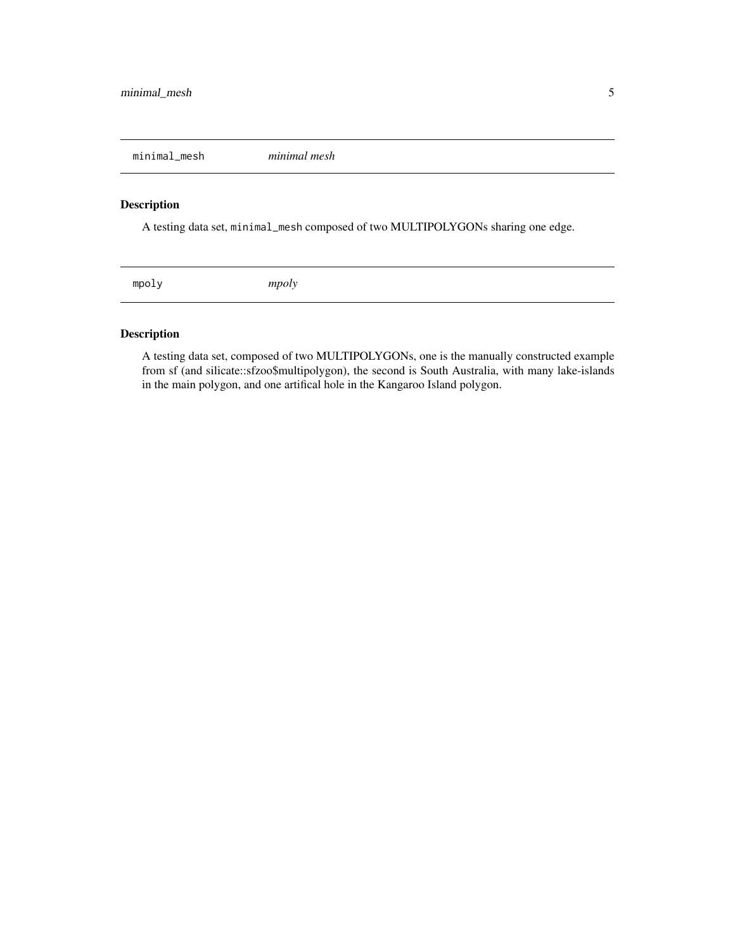<span id="page-4-0"></span>minimal\_mesh *minimal mesh*

#### Description

A testing data set, minimal\_mesh composed of two MULTIPOLYGONs sharing one edge.

mpoly *mpoly*

#### Description

A testing data set, composed of two MULTIPOLYGONs, one is the manually constructed example from sf (and silicate::sfzoo\$multipolygon), the second is South Australia, with many lake-islands in the main polygon, and one artifical hole in the Kangaroo Island polygon.